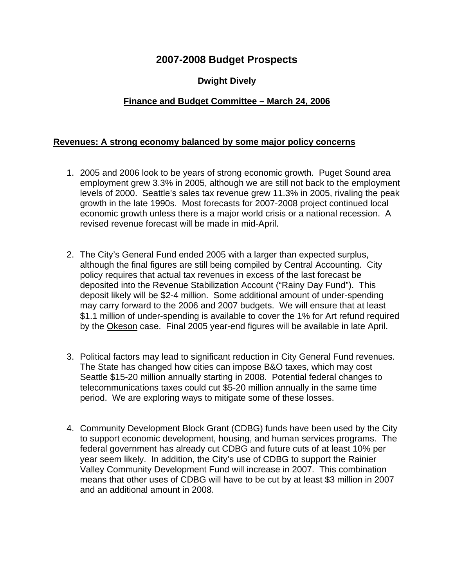# **2007-2008 Budget Prospects**

## **Dwight Dively**

### **Finance and Budget Committee – March 24, 2006**

#### **Revenues: A strong economy balanced by some major policy concerns**

- 1. 2005 and 2006 look to be years of strong economic growth. Puget Sound area employment grew 3.3% in 2005, although we are still not back to the employment levels of 2000. Seattle's sales tax revenue grew 11.3% in 2005, rivaling the peak growth in the late 1990s. Most forecasts for 2007-2008 project continued local economic growth unless there is a major world crisis or a national recession. A revised revenue forecast will be made in mid-April.
- 2. The City's General Fund ended 2005 with a larger than expected surplus, although the final figures are still being compiled by Central Accounting. City policy requires that actual tax revenues in excess of the last forecast be deposited into the Revenue Stabilization Account ("Rainy Day Fund"). This deposit likely will be \$2-4 million. Some additional amount of under-spending may carry forward to the 2006 and 2007 budgets. We will ensure that at least \$1.1 million of under-spending is available to cover the 1% for Art refund required by the Okeson case. Final 2005 year-end figures will be available in late April.
- 3. Political factors may lead to significant reduction in City General Fund revenues. The State has changed how cities can impose B&O taxes, which may cost Seattle \$15-20 million annually starting in 2008. Potential federal changes to telecommunications taxes could cut \$5-20 million annually in the same time period. We are exploring ways to mitigate some of these losses.
- 4. Community Development Block Grant (CDBG) funds have been used by the City to support economic development, housing, and human services programs. The federal government has already cut CDBG and future cuts of at least 10% per year seem likely. In addition, the City's use of CDBG to support the Rainier Valley Community Development Fund will increase in 2007. This combination means that other uses of CDBG will have to be cut by at least \$3 million in 2007 and an additional amount in 2008.